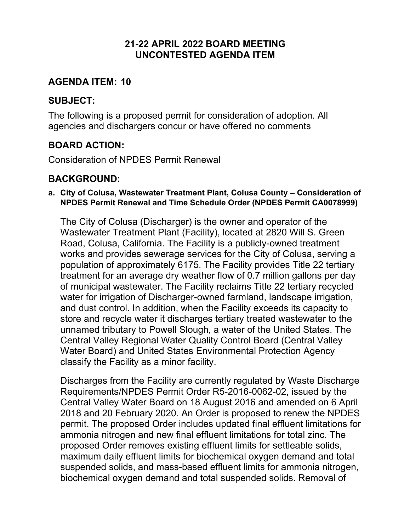### **21-22 APRIL 2022 BOARD MEETING UNCONTESTED AGENDA ITEM**

### **AGENDA ITEM: 10**

### **SUBJECT:**

The following is a proposed permit for consideration of adoption. All agencies and dischargers concur or have offered no comments

# **BOARD ACTION:**

Consideration of NPDES Permit Renewal

### **BACKGROUND:**

#### **a. City of Colusa, Wastewater Treatment Plant, Colusa County – Consideration of NPDES Permit Renewal and Time Schedule Order (NPDES Permit CA0078999)**

The City of Colusa (Discharger) is the owner and operator of the Wastewater Treatment Plant (Facility), located at 2820 Will S. Green Road, Colusa, California. The Facility is a publicly-owned treatment works and provides sewerage services for the City of Colusa, serving a population of approximately 6175. The Facility provides Title 22 tertiary treatment for an average dry weather flow of 0.7 million gallons per day of municipal wastewater. The Facility reclaims Title 22 tertiary recycled water for irrigation of Discharger-owned farmland, landscape irrigation, and dust control. In addition, when the Facility exceeds its capacity to store and recycle water it discharges tertiary treated wastewater to the unnamed tributary to Powell Slough, a water of the United States. The Central Valley Regional Water Quality Control Board (Central Valley Water Board) and United States Environmental Protection Agency classify the Facility as a minor facility.

Discharges from the Facility are currently regulated by Waste Discharge Requirements/NPDES Permit Order R5-2016-0062-02, issued by the Central Valley Water Board on 18 August 2016 and amended on 6 April 2018 and 20 February 2020. An Order is proposed to renew the NPDES permit. The proposed Order includes updated final effluent limitations for ammonia nitrogen and new final effluent limitations for total zinc. The proposed Order removes existing effluent limits for settleable solids, maximum daily effluent limits for biochemical oxygen demand and total suspended solids, and mass-based effluent limits for ammonia nitrogen, biochemical oxygen demand and total suspended solids. Removal of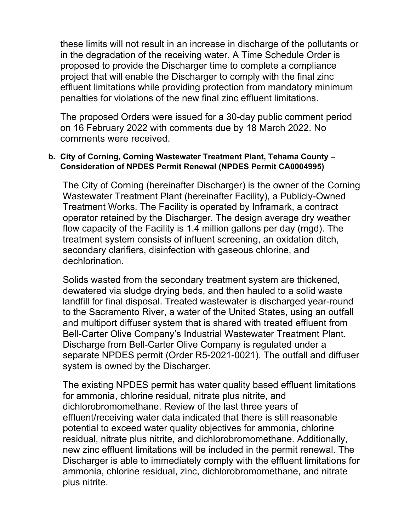these limits will not result in an increase in discharge of the pollutants or in the degradation of the receiving water. A Time Schedule Order is proposed to provide the Discharger time to complete a compliance project that will enable the Discharger to comply with the final zinc effluent limitations while providing protection from mandatory minimum penalties for violations of the new final zinc effluent limitations.

The proposed Orders were issued for a 30-day public comment period on 16 February 2022 with comments due by 18 March 2022. No comments were received.

#### **b. City of Corning, Corning Wastewater Treatment Plant, Tehama County – Consideration of NPDES Permit Renewal (NPDES Permit CA0004995)**

The City of Corning (hereinafter Discharger) is the owner of the Corning Wastewater Treatment Plant (hereinafter Facility), a Publicly-Owned Treatment Works. The Facility is operated by Inframark, a contract operator retained by the Discharger. The design average dry weather flow capacity of the Facility is 1.4 million gallons per day (mgd). The treatment system consists of influent screening, an oxidation ditch, secondary clarifiers, disinfection with gaseous chlorine, and dechlorination.

Solids wasted from the secondary treatment system are thickened, dewatered via sludge drying beds, and then hauled to a solid waste landfill for final disposal. Treated wastewater is discharged year-round to the Sacramento River, a water of the United States, using an outfall and multiport diffuser system that is shared with treated effluent from Bell-Carter Olive Company's Industrial Wastewater Treatment Plant. Discharge from Bell-Carter Olive Company is regulated under a separate NPDES permit (Order R5-2021-0021). The outfall and diffuser system is owned by the Discharger.

The existing NPDES permit has water quality based effluent limitations for ammonia, chlorine residual, nitrate plus nitrite, and dichlorobromomethane. Review of the last three years of effluent/receiving water data indicated that there is still reasonable potential to exceed water quality objectives for ammonia, chlorine residual, nitrate plus nitrite, and dichlorobromomethane. Additionally, new zinc effluent limitations will be included in the permit renewal. The Discharger is able to immediately comply with the effluent limitations for ammonia, chlorine residual, zinc, dichlorobromomethane, and nitrate plus nitrite.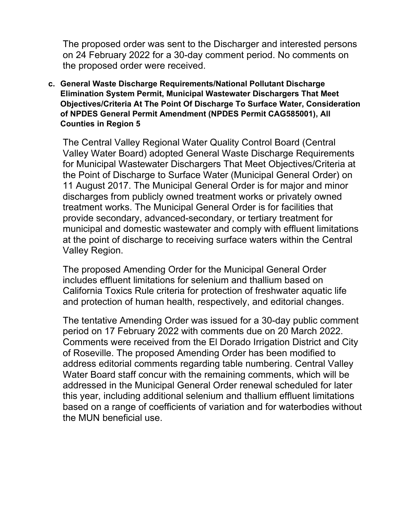The proposed order was sent to the Discharger and interested persons on 24 February 2022 for a 30-day comment period. No comments on the proposed order were received.

**c. General Waste Discharge Requirements/National Pollutant Discharge Elimination System Permit, Municipal Wastewater Dischargers That Meet Objectives/Criteria At The Point Of Discharge To Surface Water, Consideration of NPDES General Permit Amendment (NPDES Permit CAG585001), All Counties in Region 5**

The Central Valley Regional Water Quality Control Board (Central Valley Water Board) adopted General Waste Discharge Requirements for Municipal Wastewater Dischargers That Meet Objectives/Criteria at the Point of Discharge to Surface Water (Municipal General Order) on 11 August 2017. The Municipal General Order is for major and minor discharges from publicly owned treatment works or privately owned treatment works. The Municipal General Order is for facilities that provide secondary, advanced-secondary, or tertiary treatment for municipal and domestic wastewater and comply with effluent limitations at the point of discharge to receiving surface waters within the Central Valley Region.

The proposed Amending Order for the Municipal General Order includes effluent limitations for selenium and thallium based on California Toxics Rule criteria for protection of freshwater aquatic life and protection of human health, respectively, and editorial changes.

The tentative Amending Order was issued for a 30-day public comment period on 17 February 2022 with comments due on 20 March 2022. Comments were received from the El Dorado Irrigation District and City of Roseville. The proposed Amending Order has been modified to address editorial comments regarding table numbering. Central Valley Water Board staff concur with the remaining comments, which will be addressed in the Municipal General Order renewal scheduled for later this year, including additional selenium and thallium effluent limitations based on a range of coefficients of variation and for waterbodies without the MUN beneficial use.